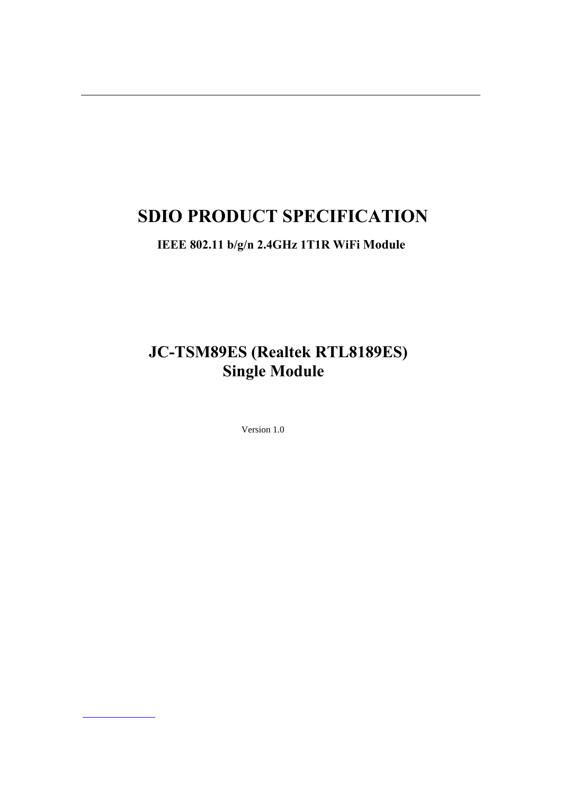# **SDIO PRODUCT SPECIFICATION**

**IEEE 802.11 b/g/n 2.4GHz 1T1R WiFi Module**

**JC-TSM89ES (Realtek RTL8189ES) Single Module**

Version 1.0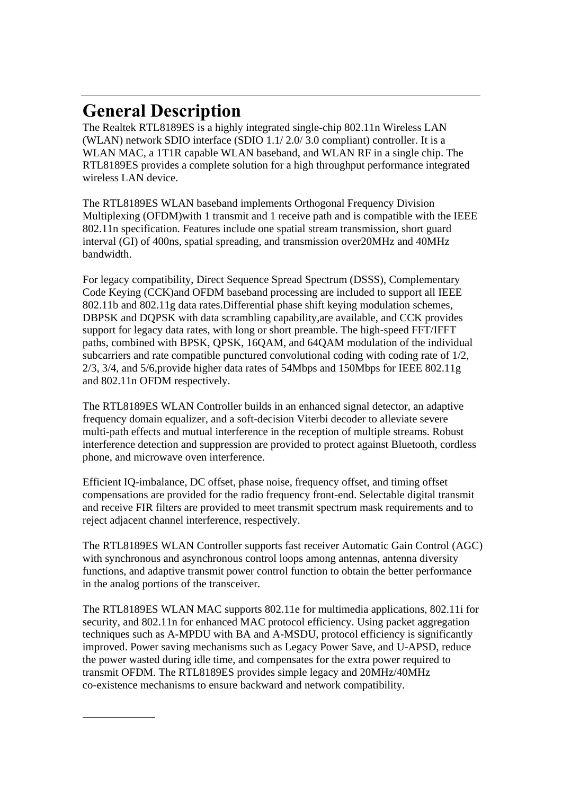# **General Description**

The Realtek RTL8189ES is a highly integrated single-chip 802.11n Wireless LAN (WLAN) network SDIO interface (SDIO 1.1/ 2.0/ 3.0 compliant) controller. It is a WLAN MAC, a 1T1R capable WLAN baseband, and WLAN RF in a single chip. The RTL8189ES provides a complete solution for a high throughput performance integrated wireless LAN device.

The RTL8189ES WLAN baseband implements Orthogonal Frequency Division Multiplexing (OFDM)with 1 transmit and 1 receive path and is compatible with the IEEE 802.11n specification. Features include one spatial stream transmission, short guard interval (GI) of 400ns, spatial spreading, and transmission over20MHz and 40MHz bandwidth.

For legacy compatibility, Direct Sequence Spread Spectrum (DSSS), Complementary Code Keying (CCK)and OFDM baseband processing are included to support all IEEE 802.11b and 802.11g data rates.Differential phase shift keying modulation schemes, DBPSK and DQPSK with data scrambling capability,are available, and CCK provides support for legacy data rates, with long or short preamble. The high-speed FFT/IFFT paths, combined with BPSK, QPSK, 16QAM, and 64QAM modulation of the individual subcarriers and rate compatible punctured convolutional coding with coding rate of 1/2, 2/3, 3/4, and 5/6,provide higher data rates of 54Mbps and 150Mbps for IEEE 802.11g and 802.11n OFDM respectively.

The RTL8189ES WLAN Controller builds in an enhanced signal detector, an adaptive frequency domain equalizer, and a soft-decision Viterbi decoder to alleviate severe multi-path effects and mutual interference in the reception of multiple streams. Robust interference detection and suppression are provided to protect against Bluetooth, cordless phone, and microwave oven interference.

Efficient IQ-imbalance, DC offset, phase noise, frequency offset, and timing offset compensations are provided for the radio frequency front-end. Selectable digital transmit and receive FIR filters are provided to meet transmit spectrum mask requirements and to reject adjacent channel interference, respectively.

The RTL8189ES WLAN Controller supports fast receiver Automatic Gain Control (AGC) with synchronous and asynchronous control loops among antennas, antenna diversity functions, and adaptive transmit power control function to obtain the better performance in the analog portions of the transceiver.

The RTL8189ES WLAN MAC supports 802.11e for multimedia applications, 802.11i for security, and 802.11n for enhanced MAC protocol efficiency. Using packet aggregation techniques such as A-MPDU with BA and A-MSDU, protocol efficiency is significantly improved. Power saving mechanisms such as Legacy Power Save, and U-APSD, reduce the power wasted during idle time, and compensates for the extra power required to transmit OFDM. The RTL8189ES provides simple legacy and 20MHz/40MHz co-existence mechanisms to ensure backward and network compatibility.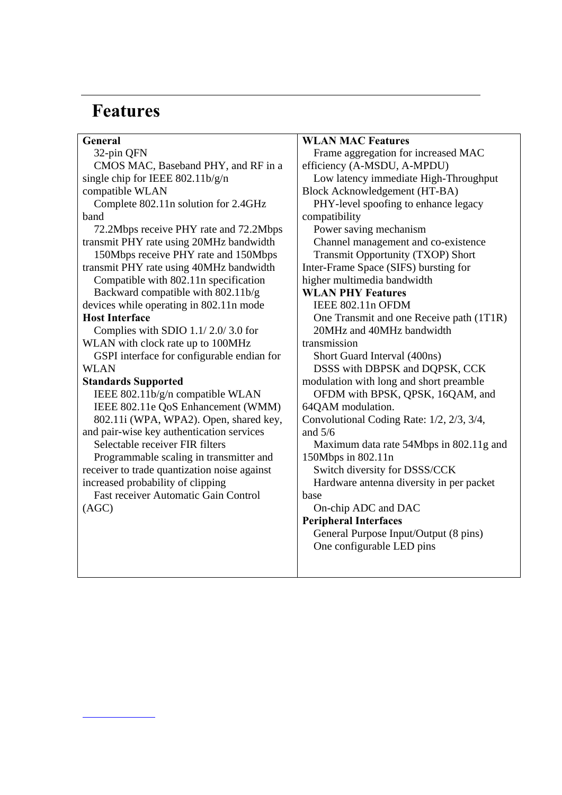# **Features**

| General                                      | <b>WLAN MAC Features</b>                  |
|----------------------------------------------|-------------------------------------------|
| 32-pin QFN                                   | Frame aggregation for increased MAC       |
| CMOS MAC, Baseband PHY, and RF in a          | efficiency (A-MSDU, A-MPDU)               |
| single chip for IEEE $802.11b/g/n$           | Low latency immediate High-Throughput     |
| compatible WLAN                              | Block Acknowledgement (HT-BA)             |
| Complete 802.11n solution for 2.4GHz         | PHY-level spoofing to enhance legacy      |
| band                                         | compatibility                             |
| 72.2Mbps receive PHY rate and 72.2Mbps       | Power saving mechanism                    |
| transmit PHY rate using 20MHz bandwidth      | Channel management and co-existence       |
| 150Mbps receive PHY rate and 150Mbps         | <b>Transmit Opportunity (TXOP) Short</b>  |
| transmit PHY rate using 40MHz bandwidth      | Inter-Frame Space (SIFS) bursting for     |
| Compatible with 802.11n specification        | higher multimedia bandwidth               |
| Backward compatible with 802.11b/g           | <b>WLAN PHY Features</b>                  |
| devices while operating in 802.11n mode      | IEEE 802.11n OFDM                         |
| <b>Host Interface</b>                        | One Transmit and one Receive path (1T1R)  |
| Complies with SDIO 1.1/2.0/3.0 for           | 20MHz and 40MHz bandwidth                 |
| WLAN with clock rate up to 100MHz            | transmission                              |
| GSPI interface for configurable endian for   | Short Guard Interval (400ns)              |
| <b>WLAN</b>                                  | DSSS with DBPSK and DQPSK, CCK            |
| <b>Standards Supported</b>                   | modulation with long and short preamble   |
| IEEE 802.11b/g/n compatible WLAN             | OFDM with BPSK, QPSK, 16QAM, and          |
| IEEE 802.11e QoS Enhancement (WMM)           | 64QAM modulation.                         |
| 802.11i (WPA, WPA2). Open, shared key,       | Convolutional Coding Rate: 1/2, 2/3, 3/4, |
| and pair-wise key authentication services    | and $5/6$                                 |
| Selectable receiver FIR filters              | Maximum data rate 54Mbps in 802.11g and   |
| Programmable scaling in transmitter and      | 150Mbps in 802.11n                        |
| receiver to trade quantization noise against | Switch diversity for DSSS/CCK             |
| increased probability of clipping            | Hardware antenna diversity in per packet  |
| <b>Fast receiver Automatic Gain Control</b>  | base                                      |
| (AGC)                                        | On-chip ADC and DAC                       |
|                                              | <b>Peripheral Interfaces</b>              |
|                                              | General Purpose Input/Output (8 pins)     |
|                                              | One configurable LED pins                 |
|                                              |                                           |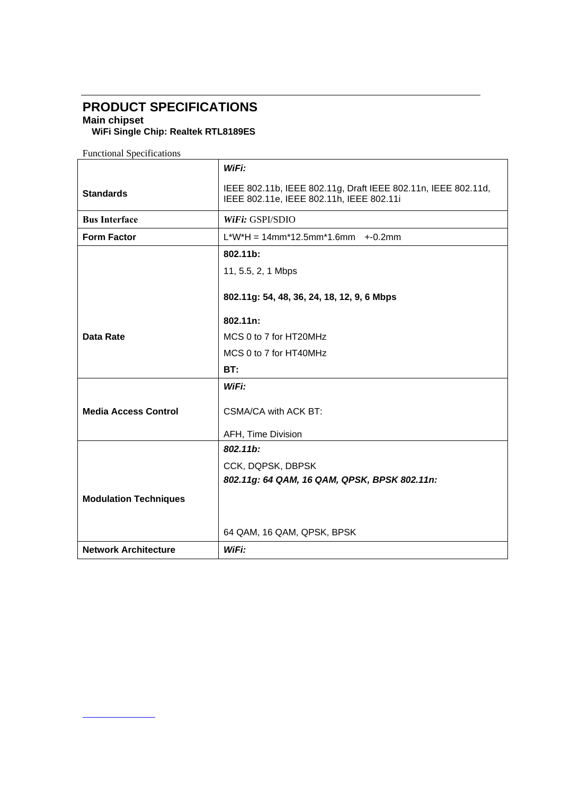## **PRODUCT SPECIFICATIONS**

**Main chipset** 

**WiFi Single Chip: Realtek RTL8189ES**

Functional Specifications

|                              | WiFi:                                                                                                     |
|------------------------------|-----------------------------------------------------------------------------------------------------------|
| <b>Standards</b>             | IEEE 802.11b, IEEE 802.11g, Draft IEEE 802.11n, IEEE 802.11d,<br>IEEE 802.11e, IEEE 802.11h, IEEE 802.11i |
| <b>Bus Interface</b>         | <i>WiFi: GSPI/SDIO</i>                                                                                    |
| <b>Form Factor</b>           | $L^*W^*H = 14mm^*12.5mm^*1.6mm$ +-0.2mm                                                                   |
|                              | 802.11b:                                                                                                  |
|                              | 11, 5.5, 2, 1 Mbps                                                                                        |
|                              | 802.11g: 54, 48, 36, 24, 18, 12, 9, 6 Mbps                                                                |
|                              | 802.11n:                                                                                                  |
| <b>Data Rate</b>             | MCS 0 to 7 for HT20MHz                                                                                    |
|                              | MCS 0 to 7 for HT40MHz                                                                                    |
|                              | BT:                                                                                                       |
|                              | WiFi:                                                                                                     |
| <b>Media Access Control</b>  | CSMA/CA with ACK BT:                                                                                      |
|                              | AFH, Time Division                                                                                        |
|                              | 802.11b:                                                                                                  |
|                              | CCK, DQPSK, DBPSK                                                                                         |
|                              | 802.11g: 64 QAM, 16 QAM, QPSK, BPSK 802.11n:                                                              |
| <b>Modulation Techniques</b> |                                                                                                           |
|                              |                                                                                                           |
|                              | 64 QAM, 16 QAM, QPSK, BPSK                                                                                |
| <b>Network Architecture</b>  | WiFi:                                                                                                     |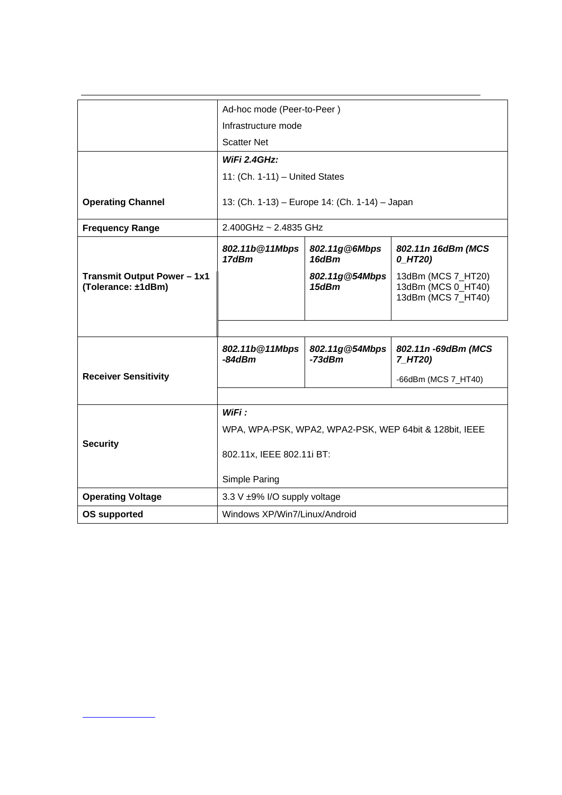|                                                          | Ad-hoc mode (Peer-to-Peer)                             |                            |                                                                |
|----------------------------------------------------------|--------------------------------------------------------|----------------------------|----------------------------------------------------------------|
|                                                          | Infrastructure mode                                    |                            |                                                                |
|                                                          | <b>Scatter Net</b>                                     |                            |                                                                |
|                                                          | WiFi 2.4GHz:                                           |                            |                                                                |
|                                                          | 11: (Ch. 1-11) - United States                         |                            |                                                                |
|                                                          |                                                        |                            |                                                                |
| <b>Operating Channel</b>                                 | 13: (Ch. 1-13) - Europe 14: (Ch. 1-14) - Japan         |                            |                                                                |
| <b>Frequency Range</b>                                   | $2.400$ GHz ~ 2.4835 GHz                               |                            |                                                                |
|                                                          | 802.11b@11Mbps<br>17dBm                                | 802.11g@6Mbps<br>16dBm     | 802.11n 16dBm (MCS<br>$0_H$ T20)                               |
| <b>Transmit Output Power - 1x1</b><br>(Tolerance: ±1dBm) |                                                        | 802.11g@54Mbps<br>15dBm    | 13dBm (MCS 7_HT20)<br>13dBm (MCS 0_HT40)<br>13dBm (MCS 7 HT40) |
|                                                          |                                                        |                            |                                                                |
|                                                          | 802.11b@11Mbps<br>$-84dBm$                             | 802.11g@54Mbps<br>$-73dBm$ | 802.11n - 69dBm (MCS<br>7_HT20)                                |
| <b>Receiver Sensitivity</b>                              |                                                        |                            | -66dBm (MCS 7_HT40)                                            |
|                                                          |                                                        |                            |                                                                |
|                                                          | WiFi:                                                  |                            |                                                                |
|                                                          | WPA, WPA-PSK, WPA2, WPA2-PSK, WEP 64bit & 128bit, IEEE |                            |                                                                |
| <b>Security</b>                                          | 802.11x, IEEE 802.11i BT:                              |                            |                                                                |
|                                                          | Simple Paring                                          |                            |                                                                |
| <b>Operating Voltage</b>                                 | 3.3 V ±9% I/O supply voltage                           |                            |                                                                |
| <b>OS supported</b>                                      | Windows XP/Win7/Linux/Android                          |                            |                                                                |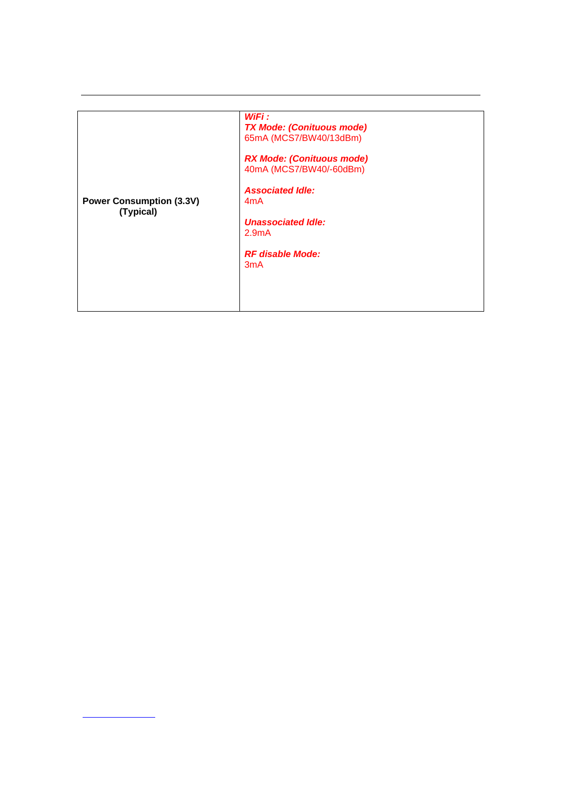| <b>Power Consumption (3.3V)</b><br>(Typical) | WiFi :<br><b>TX Mode: (Conituous mode)</b><br>65mA (MCS7/BW40/13dBm)<br><b>RX Mode: (Conituous mode)</b><br>40mA (MCS7/BW40/-60dBm)<br><b>Associated Idle:</b><br>4 <sub>m</sub> A<br><b>Unassociated Idle:</b><br>2.9 <sub>m</sub> A<br><b>RF</b> disable Mode:<br>3 <sub>m</sub> A |
|----------------------------------------------|--------------------------------------------------------------------------------------------------------------------------------------------------------------------------------------------------------------------------------------------------------------------------------------|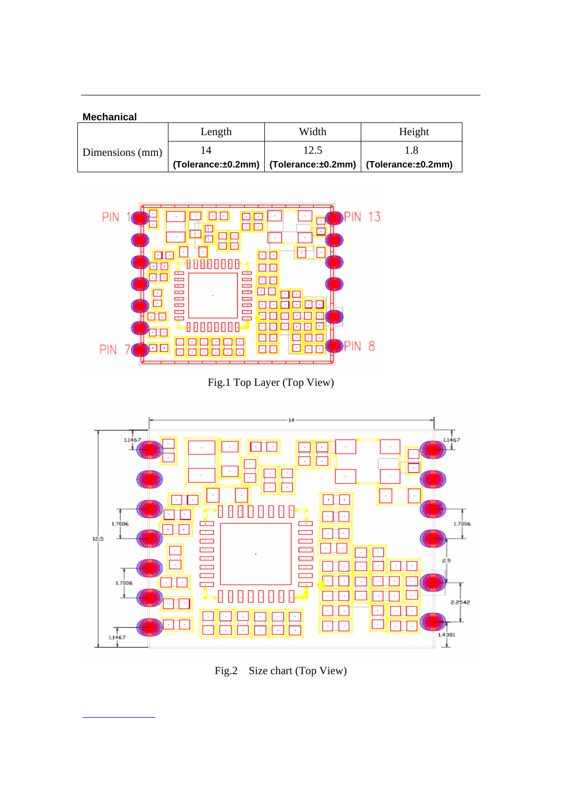| <b>Mechanical</b> |        |                                                                    |        |
|-------------------|--------|--------------------------------------------------------------------|--------|
|                   | Length | Width                                                              | Height |
| Dimensions (mm)   | 14     | 12.5                                                               |        |
|                   |        | $(Tolerance:±0.2mm)$   $(Tolerance:±0.2mm)$   $(Tolerance:±0.2mm)$ |        |



Fig.1 Top Layer (Top View)



Fig.2 Size chart (Top View)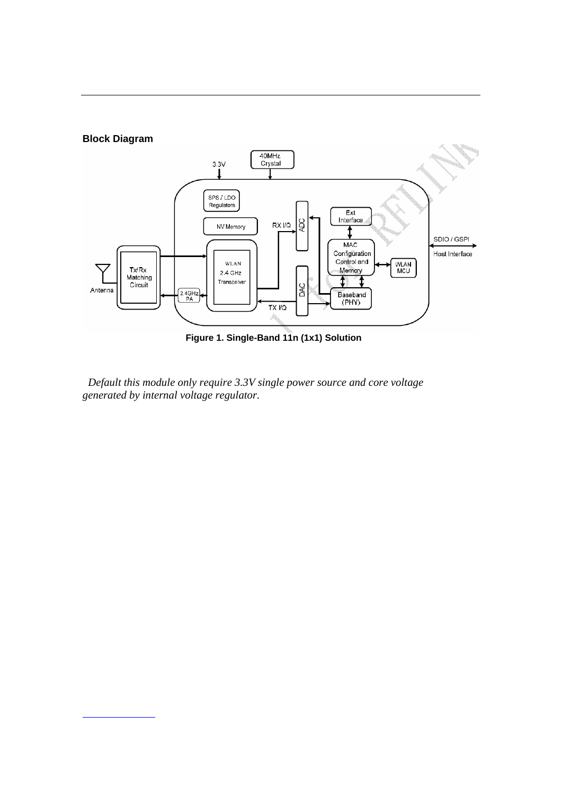

 *Default this module only require 3.3V single power source and core voltage generated by internal voltage regulator.*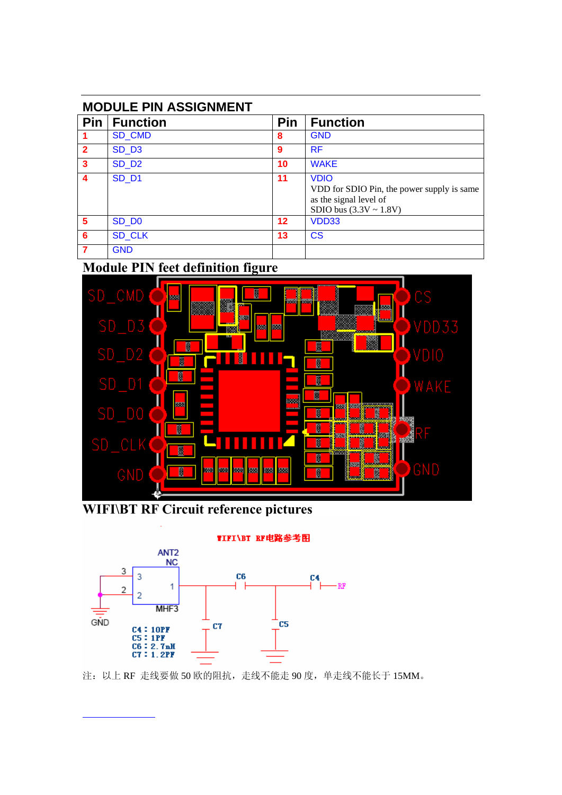| <b>MODULE PIN ASSIGNMENT</b> |                   |            |                                                                                                                    |
|------------------------------|-------------------|------------|--------------------------------------------------------------------------------------------------------------------|
| <b>Pin</b>                   | Function          | <b>Pin</b> | <b>Function</b>                                                                                                    |
|                              | <b>SD CMD</b>     | 8          | <b>GND</b>                                                                                                         |
| $\overline{2}$               | SD <sub>D3</sub>  | 9          | <b>RF</b>                                                                                                          |
| $\mathbf{3}$                 | SD <sub>D2</sub>  | 10         | <b>WAKE</b>                                                                                                        |
| $\boldsymbol{4}$             | SD <sub>D1</sub>  | 11         | <b>VDIO</b><br>VDD for SDIO Pin, the power supply is same<br>as the signal level of<br>SDIO bus $(3.3V \sim 1.8V)$ |
| 5                            | SD D <sub>0</sub> | $12 \,$    | VDD33                                                                                                              |
| 6                            | <b>SD CLK</b>     | 13         | <b>CS</b>                                                                                                          |
|                              | <b>GND</b>        |            |                                                                                                                    |

## **Module PIN feet definition figure**



**WIFI\BT RF Circuit reference pictures** 



注:以上 RF 走线要做 50 欧的阻抗,走线不能走 90 度,单走线不能长于 15MM。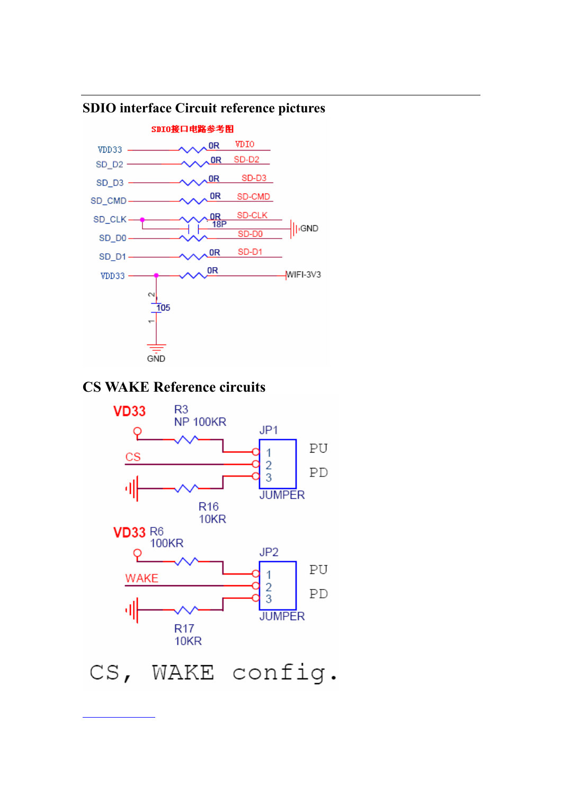

### **SDIO interface Circuit reference pictures**

### **CS WAKE Reference circuits**



CS, WAKE config.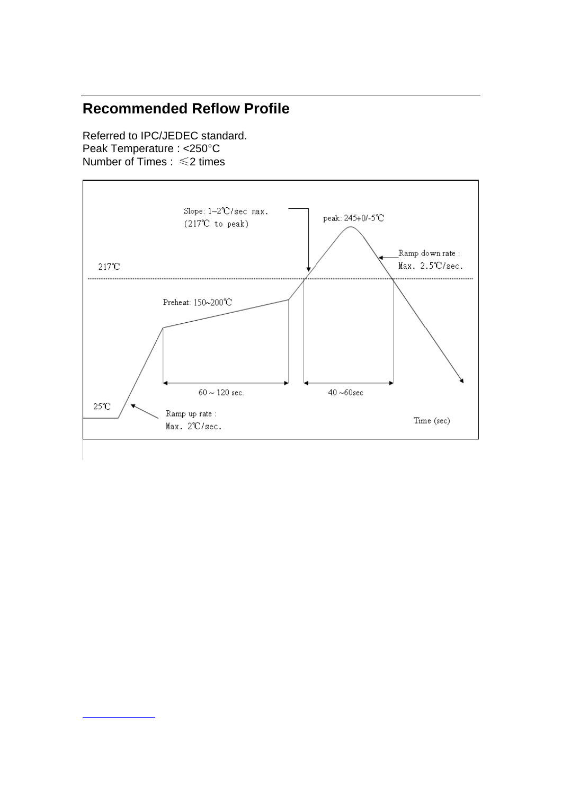### **Recommended Reflow Profile**

Referred to IPC/JEDEC standard. Peak Temperature : <250°C Number of Times : ≤2 times